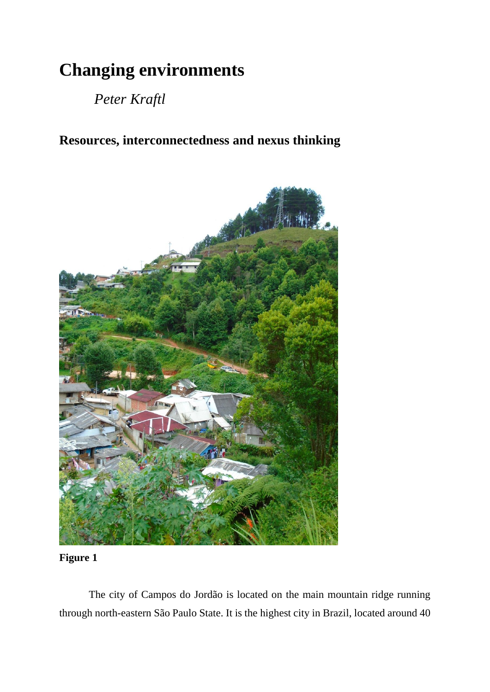## **Changing environments**

*Peter Kraftl*

**Resources, interconnectedness and nexus thinking**



## **Figure 1**

The city of Campos do Jordão is located on the main mountain ridge running through north-eastern São Paulo State. It is the highest city in Brazil, located around 40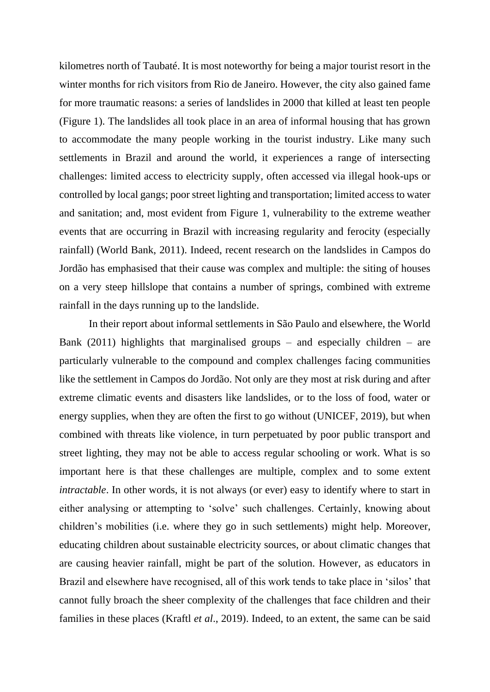kilometres north of Taubaté. It is most noteworthy for being a major tourist resort in the winter months for rich visitors from Rio de Janeiro. However, the city also gained fame for more traumatic reasons: a series of landslides in 2000 that killed at least ten people (Figure 1). The landslides all took place in an area of informal housing that has grown to accommodate the many people working in the tourist industry. Like many such settlements in Brazil and around the world, it experiences a range of intersecting challenges: limited access to electricity supply, often accessed via illegal hook-ups or controlled by local gangs; poor street lighting and transportation; limited access to water and sanitation; and, most evident from Figure 1, vulnerability to the extreme weather events that are occurring in Brazil with increasing regularity and ferocity (especially rainfall) (World Bank, 2011). Indeed, recent research on the landslides in Campos do Jordão has emphasised that their cause was complex and multiple: the siting of houses on a very steep hillslope that contains a number of springs, combined with extreme rainfall in the days running up to the landslide.

In their report about informal settlements in São Paulo and elsewhere, the World Bank (2011) highlights that marginalised groups – and especially children – are particularly vulnerable to the compound and complex challenges facing communities like the settlement in Campos do Jordão. Not only are they most at risk during and after extreme climatic events and disasters like landslides, or to the loss of food, water or energy supplies, when they are often the first to go without (UNICEF, 2019), but when combined with threats like violence, in turn perpetuated by poor public transport and street lighting, they may not be able to access regular schooling or work. What is so important here is that these challenges are multiple, complex and to some extent *intractable*. In other words, it is not always (or ever) easy to identify where to start in either analysing or attempting to 'solve' such challenges. Certainly, knowing about children's mobilities (i.e. where they go in such settlements) might help. Moreover, educating children about sustainable electricity sources, or about climatic changes that are causing heavier rainfall, might be part of the solution. However, as educators in Brazil and elsewhere have recognised, all of this work tends to take place in 'silos' that cannot fully broach the sheer complexity of the challenges that face children and their families in these places (Kraftl *et al*., 2019). Indeed, to an extent, the same can be said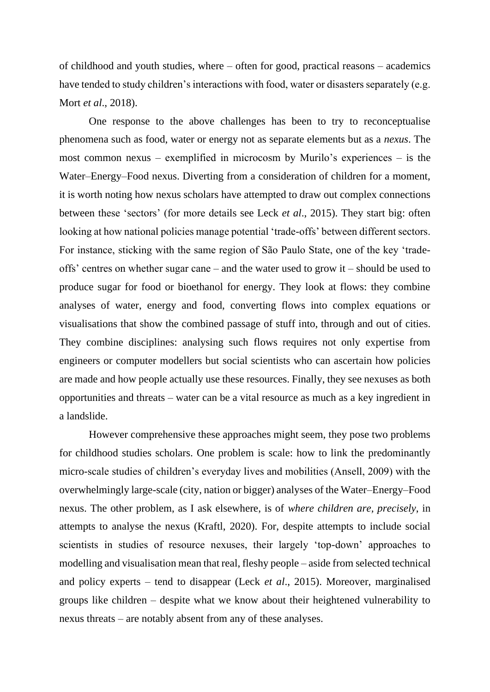of childhood and youth studies, where – often for good, practical reasons – academics have tended to study children's interactions with food, water or disasters separately (e.g. Mort *et al*., 2018).

One response to the above challenges has been to try to reconceptualise phenomena such as food, water or energy not as separate elements but as a *nexus*. The most common nexus – exemplified in microcosm by Murilo's experiences – is the Water–Energy–Food nexus. Diverting from a consideration of children for a moment, it is worth noting how nexus scholars have attempted to draw out complex connections between these 'sectors' (for more details see Leck *et al*., 2015). They start big: often looking at how national policies manage potential 'trade-offs' between different sectors. For instance, sticking with the same region of São Paulo State, one of the key 'tradeoffs' centres on whether sugar cane – and the water used to grow it – should be used to produce sugar for food or bioethanol for energy. They look at flows: they combine analyses of water, energy and food, converting flows into complex equations or visualisations that show the combined passage of stuff into, through and out of cities. They combine disciplines: analysing such flows requires not only expertise from engineers or computer modellers but social scientists who can ascertain how policies are made and how people actually use these resources. Finally, they see nexuses as both opportunities and threats – water can be a vital resource as much as a key ingredient in a landslide.

However comprehensive these approaches might seem, they pose two problems for childhood studies scholars. One problem is scale: how to link the predominantly micro-scale studies of children's everyday lives and mobilities (Ansell, 2009) with the overwhelmingly large-scale (city, nation or bigger) analyses of the Water–Energy–Food nexus. The other problem, as I ask elsewhere, is of *where children are, precisely*, in attempts to analyse the nexus (Kraftl, 2020). For, despite attempts to include social scientists in studies of resource nexuses, their largely 'top-down' approaches to modelling and visualisation mean that real, fleshy people – aside from selected technical and policy experts – tend to disappear (Leck *et al*., 2015). Moreover, marginalised groups like children – despite what we know about their heightened vulnerability to nexus threats – are notably absent from any of these analyses.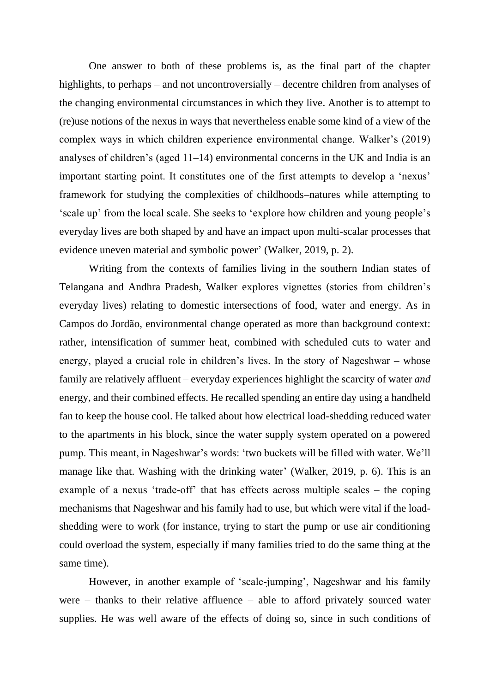One answer to both of these problems is, as the final part of the chapter highlights, to perhaps – and not uncontroversially – decentre children from analyses of the changing environmental circumstances in which they live. Another is to attempt to (re)use notions of the nexus in ways that nevertheless enable some kind of a view of the complex ways in which children experience environmental change. Walker's (2019) analyses of children's (aged 11–14) environmental concerns in the UK and India is an important starting point. It constitutes one of the first attempts to develop a 'nexus' framework for studying the complexities of childhoods–natures while attempting to 'scale up' from the local scale. She seeks to 'explore how children and young people's everyday lives are both shaped by and have an impact upon multi-scalar processes that evidence uneven material and symbolic power' (Walker, 2019, p. 2).

Writing from the contexts of families living in the southern Indian states of Telangana and Andhra Pradesh, Walker explores vignettes (stories from children's everyday lives) relating to domestic intersections of food, water and energy. As in Campos do Jordão, environmental change operated as more than background context: rather, intensification of summer heat, combined with scheduled cuts to water and energy, played a crucial role in children's lives. In the story of Nageshwar – whose family are relatively affluent – everyday experiences highlight the scarcity of water *and* energy, and their combined effects. He recalled spending an entire day using a handheld fan to keep the house cool. He talked about how electrical load-shedding reduced water to the apartments in his block, since the water supply system operated on a powered pump. This meant, in Nageshwar's words: 'two buckets will be filled with water. We'll manage like that. Washing with the drinking water' (Walker, 2019, p. 6). This is an example of a nexus 'trade-off' that has effects across multiple scales – the coping mechanisms that Nageshwar and his family had to use, but which were vital if the loadshedding were to work (for instance, trying to start the pump or use air conditioning could overload the system, especially if many families tried to do the same thing at the same time).

However, in another example of 'scale-jumping', Nageshwar and his family were – thanks to their relative affluence – able to afford privately sourced water supplies. He was well aware of the effects of doing so, since in such conditions of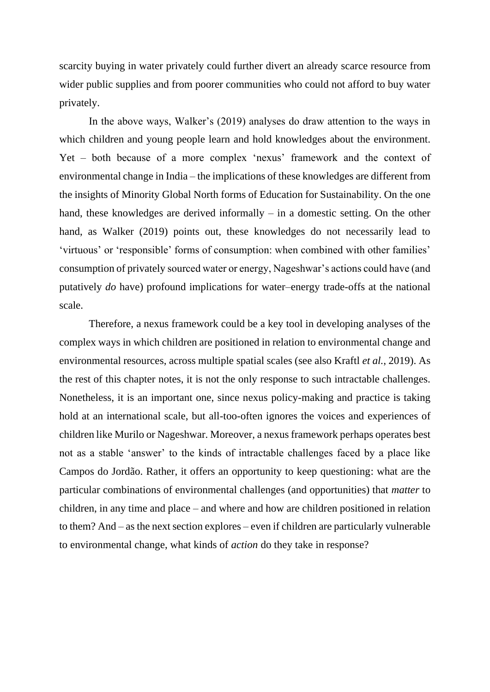scarcity buying in water privately could further divert an already scarce resource from wider public supplies and from poorer communities who could not afford to buy water privately.

In the above ways, Walker's (2019) analyses do draw attention to the ways in which children and young people learn and hold knowledges about the environment. Yet – both because of a more complex 'nexus' framework and the context of environmental change in India – the implications of these knowledges are different from the insights of Minority Global North forms of Education for Sustainability. On the one hand, these knowledges are derived informally – in a domestic setting. On the other hand, as Walker (2019) points out, these knowledges do not necessarily lead to 'virtuous' or 'responsible' forms of consumption: when combined with other families' consumption of privately sourced water or energy, Nageshwar's actions could have (and putatively *do* have) profound implications for water–energy trade-offs at the national scale.

Therefore, a nexus framework could be a key tool in developing analyses of the complex ways in which children are positioned in relation to environmental change and environmental resources, across multiple spatial scales (see also Kraftl *et al.*, 2019). As the rest of this chapter notes, it is not the only response to such intractable challenges. Nonetheless, it is an important one, since nexus policy-making and practice is taking hold at an international scale, but all-too-often ignores the voices and experiences of children like Murilo or Nageshwar. Moreover, a nexus framework perhaps operates best not as a stable 'answer' to the kinds of intractable challenges faced by a place like Campos do Jordão. Rather, it offers an opportunity to keep questioning: what are the particular combinations of environmental challenges (and opportunities) that *matter* to children, in any time and place – and where and how are children positioned in relation to them? And – as the next section explores – even if children are particularly vulnerable to environmental change, what kinds of *action* do they take in response?